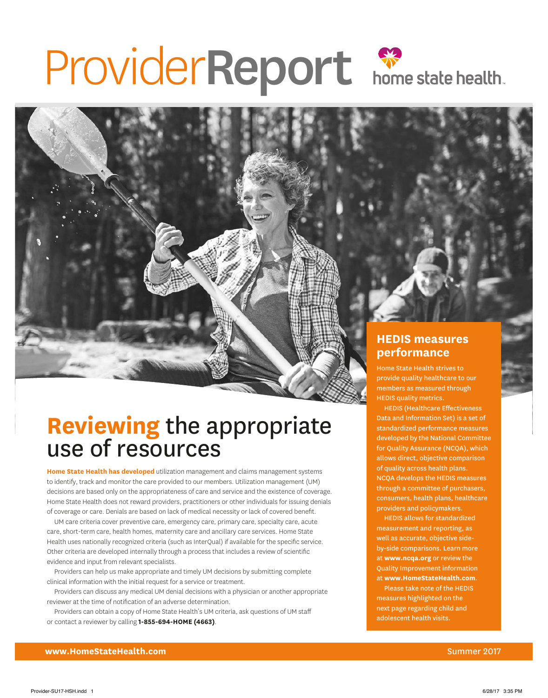# ProviderReport Spreadshealth.

# **Reviewing** the appropriate use of resources

**Home State Health has developed** utilization management and claims management systems to identify, track and monitor the care provided to our members. Utilization management (UM) decisions are based only on the appropriateness of care and service and the existence of coverage. Home State Health does not reward providers, practitioners or other individuals for issuing denials of coverage or care. Denials are based on lack of medical necessity or lack of covered benefit.

UM care criteria cover preventive care, emergency care, primary care, specialty care, acute care, short-term care, health homes, maternity care and ancillary care services. Home State Health uses nationally recognized criteria (such as InterQual) if available for the specific service. Other criteria are developed internally through a process that includes a review of scientific evidence and input from relevant specialists.

Providers can help us make appropriate and timely UM decisions by submitting complete clinical information with the initial request for a service or treatment.

Providers can discuss any medical UM denial decisions with a physician or another appropriate reviewer at the time of notification of an adverse determination.

Providers can obtain a copy of Home State Health's UM criteria, ask questions of UM staff or contact a reviewer by calling **1-855-694-HOME (4663)**.

## **HEDIS measures performance**

Home State Health strives to provide quality healthcare to our members as measured through HEDIS quality metrics.

HEDIS (Healthcare Effectiveness Data and Information Set) is a set of standardized performance measures developed by the National Committee for Quality Assurance (NCQA), which allows direct, objective comparison of quality across health plans. NCQA develops the HEDIS measures through a committee of purchasers, consumers, health plans, healthcare providers and policymakers.

HEDIS allows for standardized measurement and reporting, as well as accurate, objective sideby-side comparisons. Learn more at **[www.ncqa.org](http://www.ncqa.org)** or review the Quality Improvement information at **[www.HomeStateHealth.com](http://www.HomeStateHealth.com)**.

Please take note of the HEDIS measures highlighted on the next page regarding child and adolescent health visits.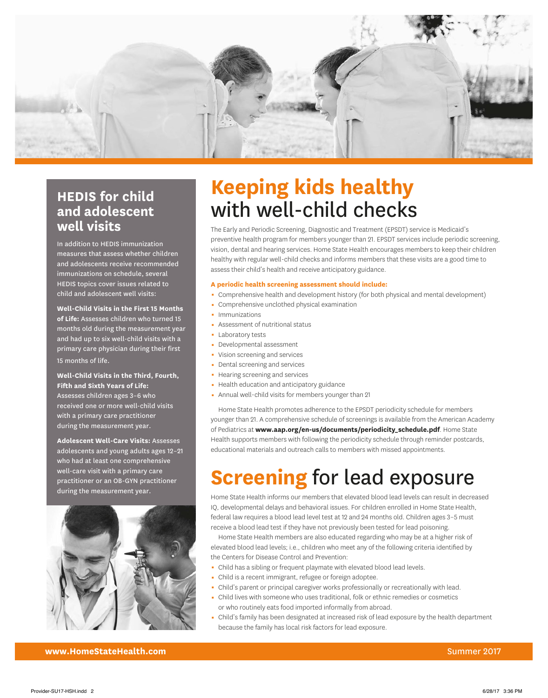

## **HEDIS for child and adolescent well visits**

In addition to HEDIS immunization measures that assess whether children and adolescents receive recommended immunizations on schedule, several HEDIS topics cover issues related to child and adolescent well visits:

**Well-Child Visits in the First 15 Months of Life:** Assesses children who turned 15 months old during the measurement year and had up to six well-child visits with a primary care physician during their first 15 months of life.

#### **Well-Child Visits in the Third, Fourth, Fifth and Sixth Years of Life:**

Assesses children ages 3–6 who received one or more well-child visits with a primary care practitioner during the measurement year.

**Adolescent Well-Care Visits:** Assesses adolescents and young adults ages 12–21 who had at least one comprehensive well-care visit with a primary care practitioner or an OB-GYN practitioner during the measurement year.



# **Keeping kids healthy** with well-child checks

The Early and Periodic Screening, Diagnostic and Treatment (EPSDT) service is Medicaid's preventive health program for members younger than 21. EPSDT services include periodic screening, vision, dental and hearing services. Home State Health encourages members to keep their children healthy with regular well-child checks and informs members that these visits are a good time to assess their child's health and receive anticipatory guidance.

#### **A periodic health screening assessment should include:**

- Comprehensive health and development history (for both physical and mental development)
- 0 Comprehensive unclothed physical examination
- Immunizations
- **Assessment of nutritional status**
- **Laboratory tests**
- Developmental assessment
- Vision screening and services
- Dental screening and services
- Hearing screening and services
- Health education and anticipatory guidance
- Annual well-child visits for members younger than 21

Home State Health promotes adherence to the EPSDT periodicity schedule for members younger than 21. A comprehensive schedule of screenings is available from the American Academy of Pediatrics at **[www.aap.org/en-us/documents/periodicity\\_schedule.pdf](http://www.aap.org/en-us/documents/periodicity_schedule.pdf)**. Home State Health supports members with following the periodicity schedule through reminder postcards, educational materials and outreach calls to members with missed appointments.

# **Screening** for lead exposure

Home State Health informs our members that elevated blood lead levels can result in decreased IQ, developmental delays and behavioral issues. For children enrolled in Home State Health, federal law requires a blood lead level test at 12 and 24 months old. Children ages 3–5 must receive a blood lead test if they have not previously been tested for lead poisoning.

Home State Health members are also educated regarding who may be at a higher risk of elevated blood lead levels; i.e., children who meet any of the following criteria identified by the Centers for Disease Control and Prevention:

- Child has a sibling or frequent playmate with elevated blood lead levels.
- Child is a recent immigrant, refugee or foreign adoptee.
- Child's parent or principal caregiver works professionally or recreationally with lead.
- 0 Child lives with someone who uses traditional, folk or ethnic remedies or cosmetics or who routinely eats food imported informally from abroad.
- 0 Child's family has been designated at increased risk of lead exposure by the health department because the family has local risk factors for lead exposure.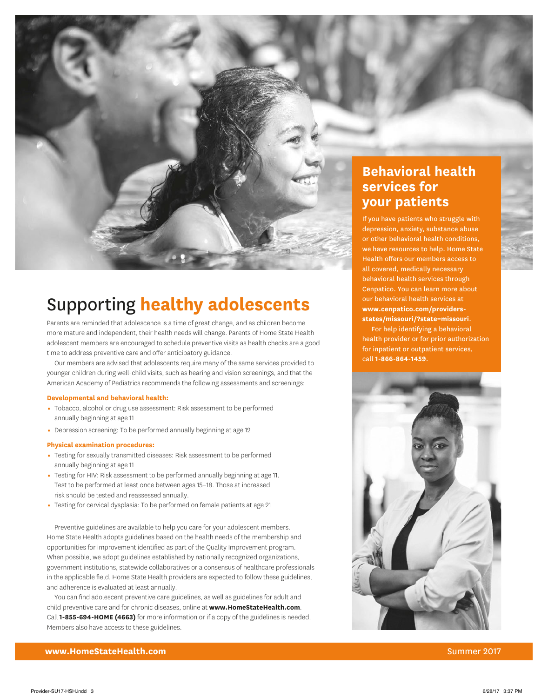

## Supporting **healthy adolescents**

Parents are reminded that adolescence is a time of great change, and as children become more mature and independent, their health needs will change. Parents of Home State Health adolescent members are encouraged to schedule preventive visits as health checks are a good time to address preventive care and offer anticipatory guidance.

Our members are advised that adolescents require many of the same services provided to younger children during well-child visits, such as hearing and vision screenings, and that the American Academy of Pediatrics recommends the following assessments and screenings:

#### **Developmental and behavioral health:**

- Tobacco, alcohol or drug use assessment: Risk assessment to be performed annually beginning at age 11
- Depression screening: To be performed annually beginning at age 12

#### **Physical examination procedures:**

- 0 Testing for sexually transmitted diseases: Risk assessment to be performed annually beginning at age 11
- 0 Testing for HIV: Risk assessment to be performed annually beginning at age 11. Test to be performed at least once between ages 15–18. Those at increased risk should be tested and reassessed annually.
- 0 Testing for cervical dysplasia: To be performed on female patients at age 21

Preventive guidelines are available to help you care for your adolescent members. Home State Health adopts guidelines based on the health needs of the membership and opportunities for improvement identified as part of the Quality Improvement program. When possible, we adopt guidelines established by nationally recognized organizations, government institutions, statewide collaboratives or a consensus of healthcare professionals in the applicable field. Home State Health providers are expected to follow these guidelines, and adherence is evaluated at least annually.

You can find adolescent preventive care guidelines, as well as guidelines for adult and child preventive care and for chronic diseases, online at **[www.HomeStateHealth.com](http://www.HomeStateHealth.com)**. Call **1-855-694-HOME (4663)** for more information or if a copy of the guidelines is needed. Members also have access to these guidelines.

## **Behavioral health services for your patients**

If you have patients who struggle with depression, anxiety, substance abuse or other behavioral health conditions, we have resources to help. Home State Health offers our members access to all covered, medically necessary behavioral health services through Cenpatico. You can learn more about our behavioral health services at **www.cenpatico.com/providers[states/missouri/?state=missouri](http://www.Cenpatico.com/providers-states/missouri/?state=Missouri)**.

 For help identifying a behavioral health provider or for prior authorization for inpatient or outpatient services, call **1-866-864-1459**.